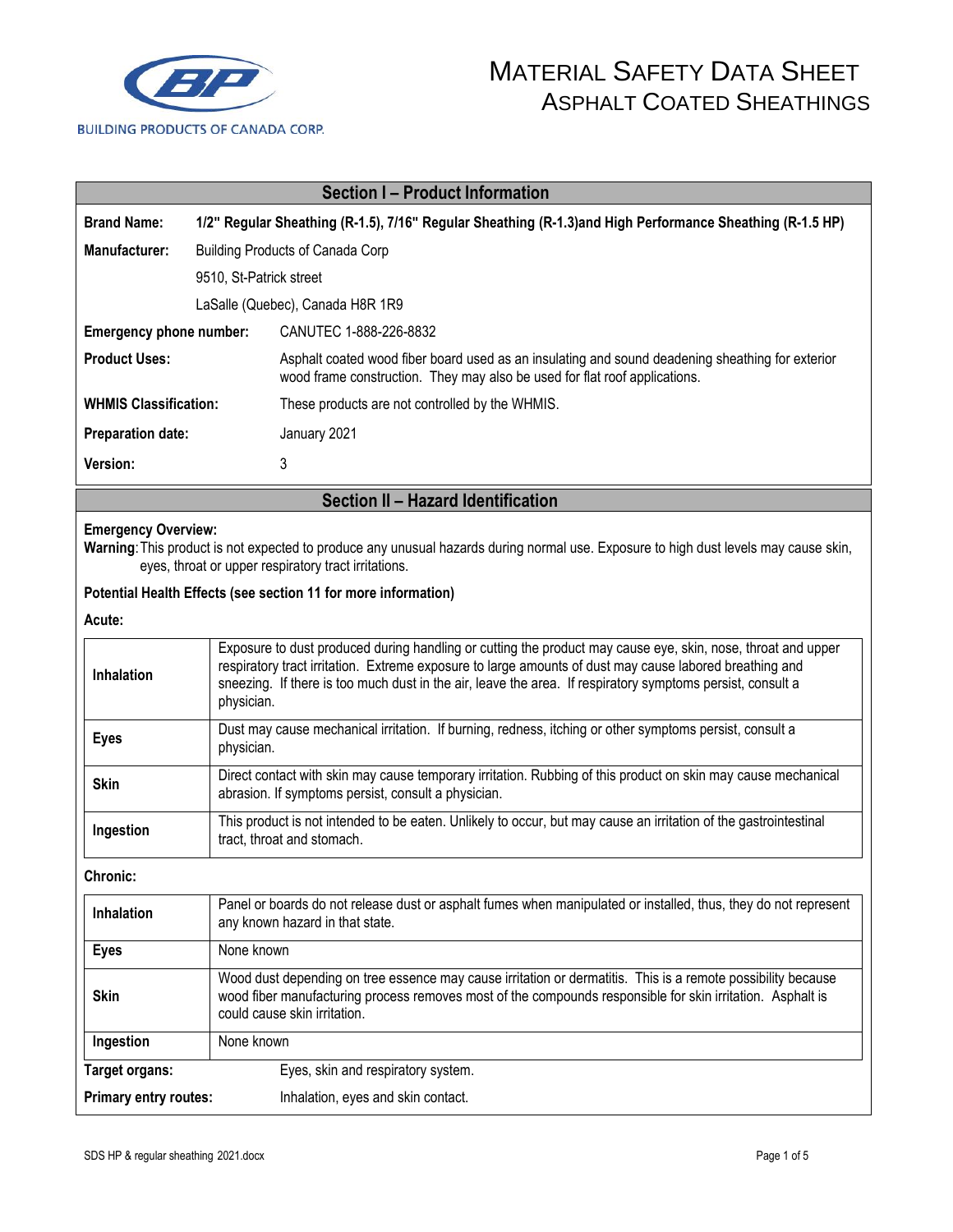

| <b>Section I - Product Information</b> |                                                                                                                                                |                                                                                                                                                                                                                                                                                                                                                     |  |  |
|----------------------------------------|------------------------------------------------------------------------------------------------------------------------------------------------|-----------------------------------------------------------------------------------------------------------------------------------------------------------------------------------------------------------------------------------------------------------------------------------------------------------------------------------------------------|--|--|
| <b>Brand Name:</b>                     |                                                                                                                                                | 1/2" Regular Sheathing (R-1.5), 7/16" Regular Sheathing (R-1.3) and High Performance Sheathing (R-1.5 HP)                                                                                                                                                                                                                                           |  |  |
| Manufacturer:                          |                                                                                                                                                | <b>Building Products of Canada Corp</b>                                                                                                                                                                                                                                                                                                             |  |  |
|                                        | 9510, St-Patrick street                                                                                                                        |                                                                                                                                                                                                                                                                                                                                                     |  |  |
|                                        |                                                                                                                                                | LaSalle (Quebec), Canada H8R 1R9                                                                                                                                                                                                                                                                                                                    |  |  |
| Emergency phone number:                |                                                                                                                                                | CANUTEC 1-888-226-8832                                                                                                                                                                                                                                                                                                                              |  |  |
| <b>Product Uses:</b>                   |                                                                                                                                                | Asphalt coated wood fiber board used as an insulating and sound deadening sheathing for exterior<br>wood frame construction. They may also be used for flat roof applications.                                                                                                                                                                      |  |  |
| <b>WHMIS Classification:</b>           |                                                                                                                                                | These products are not controlled by the WHMIS.                                                                                                                                                                                                                                                                                                     |  |  |
| <b>Preparation date:</b>               |                                                                                                                                                | January 2021                                                                                                                                                                                                                                                                                                                                        |  |  |
| Version:                               |                                                                                                                                                | 3                                                                                                                                                                                                                                                                                                                                                   |  |  |
| Section II - Hazard Identification     |                                                                                                                                                |                                                                                                                                                                                                                                                                                                                                                     |  |  |
| <b>Emergency Overview:</b>             |                                                                                                                                                | Warning: This product is not expected to produce any unusual hazards during normal use. Exposure to high dust levels may cause skin,<br>eyes, throat or upper respiratory tract irritations.                                                                                                                                                        |  |  |
|                                        |                                                                                                                                                | Potential Health Effects (see section 11 for more information)                                                                                                                                                                                                                                                                                      |  |  |
| Acute:                                 |                                                                                                                                                |                                                                                                                                                                                                                                                                                                                                                     |  |  |
| <b>Inhalation</b>                      |                                                                                                                                                | Exposure to dust produced during handling or cutting the product may cause eye, skin, nose, throat and upper<br>respiratory tract irritation. Extreme exposure to large amounts of dust may cause labored breathing and<br>sneezing. If there is too much dust in the air, leave the area. If respiratory symptoms persist, consult a<br>physician. |  |  |
| <b>Eyes</b>                            |                                                                                                                                                | Dust may cause mechanical irritation. If burning, redness, itching or other symptoms persist, consult a<br>physician.                                                                                                                                                                                                                               |  |  |
| <b>Skin</b>                            |                                                                                                                                                | Direct contact with skin may cause temporary irritation. Rubbing of this product on skin may cause mechanical<br>abrasion. If symptoms persist, consult a physician.                                                                                                                                                                                |  |  |
| Ingestion                              | This product is not intended to be eaten. Unlikely to occur, but may cause an irritation of the gastrointestinal<br>tract, throat and stomach. |                                                                                                                                                                                                                                                                                                                                                     |  |  |

**Chronic:**

| <b>Inhalation</b>            | Panel or boards do not release dust or asphalt fumes when manipulated or installed, thus, they do not represent<br>any known hazard in that state.                                                                                                         |  |  |
|------------------------------|------------------------------------------------------------------------------------------------------------------------------------------------------------------------------------------------------------------------------------------------------------|--|--|
| <b>Eyes</b>                  | None known                                                                                                                                                                                                                                                 |  |  |
| <b>Skin</b>                  | Wood dust depending on tree essence may cause irritation or dermatitis. This is a remote possibility because<br>wood fiber manufacturing process removes most of the compounds responsible for skin irritation. Asphalt is<br>could cause skin irritation. |  |  |
| Ingestion                    | None known                                                                                                                                                                                                                                                 |  |  |
| Target organs:               | Eyes, skin and respiratory system.                                                                                                                                                                                                                         |  |  |
| <b>Primary entry routes:</b> | Inhalation, eyes and skin contact.                                                                                                                                                                                                                         |  |  |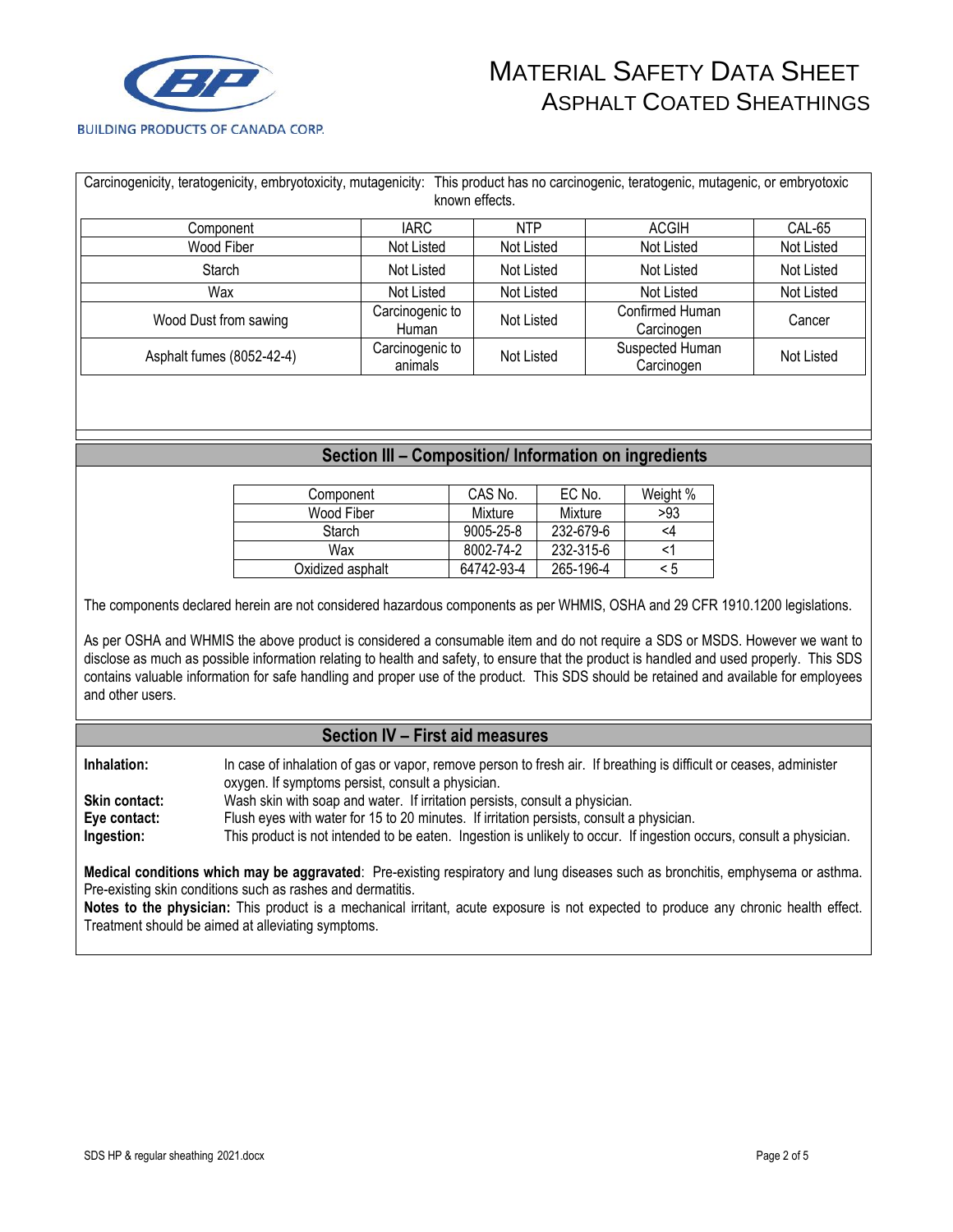

| Carcinogenicity, teratogenicity, embryotoxicity, mutagenicity: This product has no carcinogenic, teratogenic, mutagenic, or embryotoxic<br>known effects. |                            |            |                               |            |
|-----------------------------------------------------------------------------------------------------------------------------------------------------------|----------------------------|------------|-------------------------------|------------|
| Component                                                                                                                                                 | <b>IARC</b>                | <b>NTP</b> | <b>ACGIH</b>                  | CAL-65     |
| Wood Fiber                                                                                                                                                | Not Listed                 | Not Listed | Not Listed                    | Not Listed |
| <b>Starch</b>                                                                                                                                             | Not Listed                 |            | Not Listed                    | Not Listed |
| Wax                                                                                                                                                       | Not Listed                 | Not Listed | Not Listed                    | Not Listed |
| Wood Dust from sawing                                                                                                                                     | Carcinogenic to<br>Human   | Not Listed | Confirmed Human<br>Carcinogen | Cancer     |
| Asphalt fumes (8052-42-4)                                                                                                                                 | Carcinogenic to<br>animals | Not Listed | Suspected Human<br>Carcinogen | Not Listed |

### **Section III – Composition/ Information on ingredients**

| Component        | CAS No.         | EC No.    | Weight % |
|------------------|-----------------|-----------|----------|
| Wood Fiber       | Mixture         | Mixture   | >93      |
| Starch           | $9005 - 25 - 8$ | 232-679-6 | <4       |
| Wax              | 8002-74-2       | 232-315-6 |          |
| Oxidized asphalt | 64742-93-4      | 265-196-4 | < 5      |

The components declared herein are not considered hazardous components as per WHMIS, OSHA and 29 CFR 1910.1200 legislations.

As per OSHA and WHMIS the above product is considered a consumable item and do not require a SDS or MSDS. However we want to disclose as much as possible information relating to health and safety, to ensure that the product is handled and used properly. This SDS contains valuable information for safe handling and proper use of the product. This SDS should be retained and available for employees and other users.

#### **Section IV – First aid measures**

**Inhalation:** In case of inhalation of gas or vapor, remove person to fresh air. If breathing is difficult or ceases, administer oxygen. If symptoms persist, consult a physician. **Skin contact:** Wash skin with soap and water. If irritation persists, consult a physician. **Eye contact:** Flush eyes with water for 15 to 20 minutes. If irritation persists, consult a physician. **Ingestion:** This product is not intended to be eaten. Ingestion is unlikely to occur. If ingestion occurs, consult a physician.

**Medical conditions which may be aggravated**: Pre-existing respiratory and lung diseases such as bronchitis, emphysema or asthma. Pre-existing skin conditions such as rashes and dermatitis.

**Notes to the physician:** This product is a mechanical irritant, acute exposure is not expected to produce any chronic health effect. Treatment should be aimed at alleviating symptoms.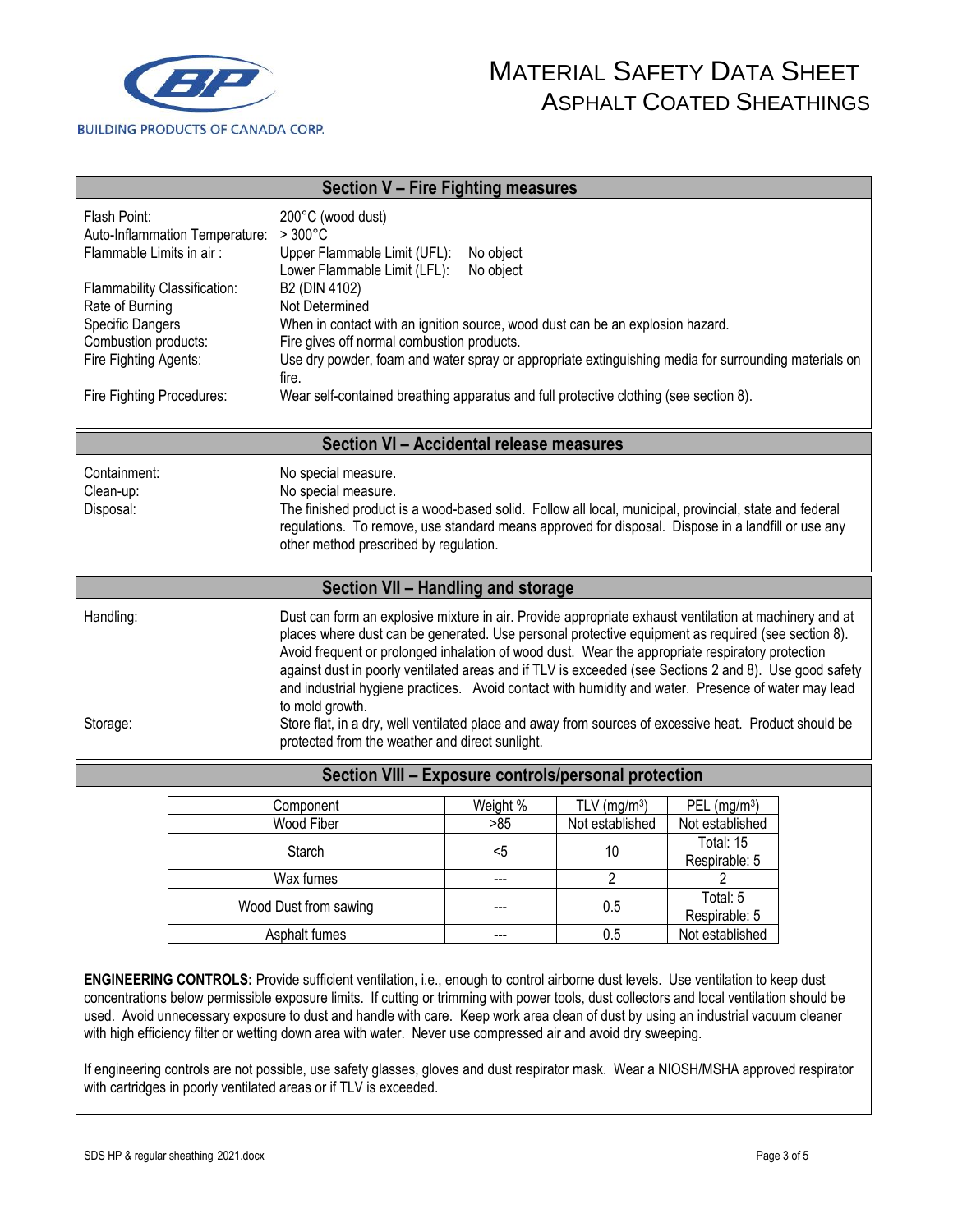

| Section V - Fire Fighting measures                                                                                                                                                                                                                                                                                                                                                                                                                                                                                                                                                                                                                                                                                                         |                                                                                                                                                                                                                                                                                                      |                                                                                                                                 |                 |                                    |                                  |  |
|--------------------------------------------------------------------------------------------------------------------------------------------------------------------------------------------------------------------------------------------------------------------------------------------------------------------------------------------------------------------------------------------------------------------------------------------------------------------------------------------------------------------------------------------------------------------------------------------------------------------------------------------------------------------------------------------------------------------------------------------|------------------------------------------------------------------------------------------------------------------------------------------------------------------------------------------------------------------------------------------------------------------------------------------------------|---------------------------------------------------------------------------------------------------------------------------------|-----------------|------------------------------------|----------------------------------|--|
| Flash Point:<br>Auto-Inflammation Temperature:<br>Flammable Limits in air:                                                                                                                                                                                                                                                                                                                                                                                                                                                                                                                                                                                                                                                                 |                                                                                                                                                                                                                                                                                                      | 200°C (wood dust)<br>$>300^{\circ}$ C<br>Upper Flammable Limit (UFL):<br>No object<br>Lower Flammable Limit (LFL):<br>No object |                 |                                    |                                  |  |
| B2 (DIN 4102)<br>Flammability Classification:<br>Rate of Burning<br>Not Determined<br>Specific Dangers<br>When in contact with an ignition source, wood dust can be an explosion hazard.<br>Combustion products:<br>Fire gives off normal combustion products.<br>Fire Fighting Agents:<br>Use dry powder, foam and water spray or appropriate extinguishing media for surrounding materials on<br>fire.                                                                                                                                                                                                                                                                                                                                   |                                                                                                                                                                                                                                                                                                      |                                                                                                                                 |                 |                                    |                                  |  |
| Fire Fighting Procedures:                                                                                                                                                                                                                                                                                                                                                                                                                                                                                                                                                                                                                                                                                                                  |                                                                                                                                                                                                                                                                                                      | Wear self-contained breathing apparatus and full protective clothing (see section 8).                                           |                 |                                    |                                  |  |
|                                                                                                                                                                                                                                                                                                                                                                                                                                                                                                                                                                                                                                                                                                                                            |                                                                                                                                                                                                                                                                                                      | Section VI - Accidental release measures                                                                                        |                 |                                    |                                  |  |
| Containment:<br>Clean-up:<br>Disposal:                                                                                                                                                                                                                                                                                                                                                                                                                                                                                                                                                                                                                                                                                                     | No special measure.<br>No special measure.<br>The finished product is a wood-based solid. Follow all local, municipal, provincial, state and federal<br>regulations. To remove, use standard means approved for disposal. Dispose in a landfill or use any<br>other method prescribed by regulation. |                                                                                                                                 |                 |                                    |                                  |  |
|                                                                                                                                                                                                                                                                                                                                                                                                                                                                                                                                                                                                                                                                                                                                            |                                                                                                                                                                                                                                                                                                      | Section VII - Handling and storage                                                                                              |                 |                                    |                                  |  |
| Handling:<br>Dust can form an explosive mixture in air. Provide appropriate exhaust ventilation at machinery and at<br>places where dust can be generated. Use personal protective equipment as required (see section 8).<br>Avoid frequent or prolonged inhalation of wood dust. Wear the appropriate respiratory protection<br>against dust in poorly ventilated areas and if TLV is exceeded (see Sections 2 and 8). Use good safety<br>and industrial hygiene practices. Avoid contact with humidity and water. Presence of water may lead<br>to mold growth.<br>Store flat, in a dry, well ventilated place and away from sources of excessive heat. Product should be<br>Storage:<br>protected from the weather and direct sunlight. |                                                                                                                                                                                                                                                                                                      |                                                                                                                                 |                 |                                    |                                  |  |
| Section VIII - Exposure controls/personal protection                                                                                                                                                                                                                                                                                                                                                                                                                                                                                                                                                                                                                                                                                       |                                                                                                                                                                                                                                                                                                      |                                                                                                                                 |                 |                                    |                                  |  |
|                                                                                                                                                                                                                                                                                                                                                                                                                                                                                                                                                                                                                                                                                                                                            |                                                                                                                                                                                                                                                                                                      | Component<br>Wood Fiber                                                                                                         | Weight %<br>>85 | TLV ( $mg/m3$ )<br>Not established | PEL $(mg/m3)$<br>Not established |  |
|                                                                                                                                                                                                                                                                                                                                                                                                                                                                                                                                                                                                                                                                                                                                            | Starch                                                                                                                                                                                                                                                                                               |                                                                                                                                 | $5$             | 10                                 | Total: 15<br>Respirable: 5       |  |
|                                                                                                                                                                                                                                                                                                                                                                                                                                                                                                                                                                                                                                                                                                                                            | Wax fumes                                                                                                                                                                                                                                                                                            |                                                                                                                                 | ---             | $\overline{2}$                     | $\overline{2}$                   |  |
|                                                                                                                                                                                                                                                                                                                                                                                                                                                                                                                                                                                                                                                                                                                                            | Wood Dust from sawing                                                                                                                                                                                                                                                                                |                                                                                                                                 |                 | 0.5                                | Total: 5<br>Respirable: 5        |  |
|                                                                                                                                                                                                                                                                                                                                                                                                                                                                                                                                                                                                                                                                                                                                            | Asphalt fumes                                                                                                                                                                                                                                                                                        |                                                                                                                                 | ---             | 0.5                                | Not established                  |  |
| <b>ENGINEERING CONTROLS:</b> Provide sufficient ventilation, i.e., enough to control airborne dust levels. Use ventilation to keep dust                                                                                                                                                                                                                                                                                                                                                                                                                                                                                                                                                                                                    |                                                                                                                                                                                                                                                                                                      |                                                                                                                                 |                 |                                    |                                  |  |

**ENGINEERING CONTROLS:** Provide sufficient ventilation, i.e., enough to control airborne dust levels. Use ventilation to keep dust concentrations below permissible exposure limits. If cutting or trimming with power tools, dust collectors and local ventilation should be used. Avoid unnecessary exposure to dust and handle with care. Keep work area clean of dust by using an industrial vacuum cleaner with high efficiency filter or wetting down area with water. Never use compressed air and avoid dry sweeping.

If engineering controls are not possible, use safety glasses, gloves and dust respirator mask. Wear a NIOSH/MSHA approved respirator with cartridges in poorly ventilated areas or if TLV is exceeded.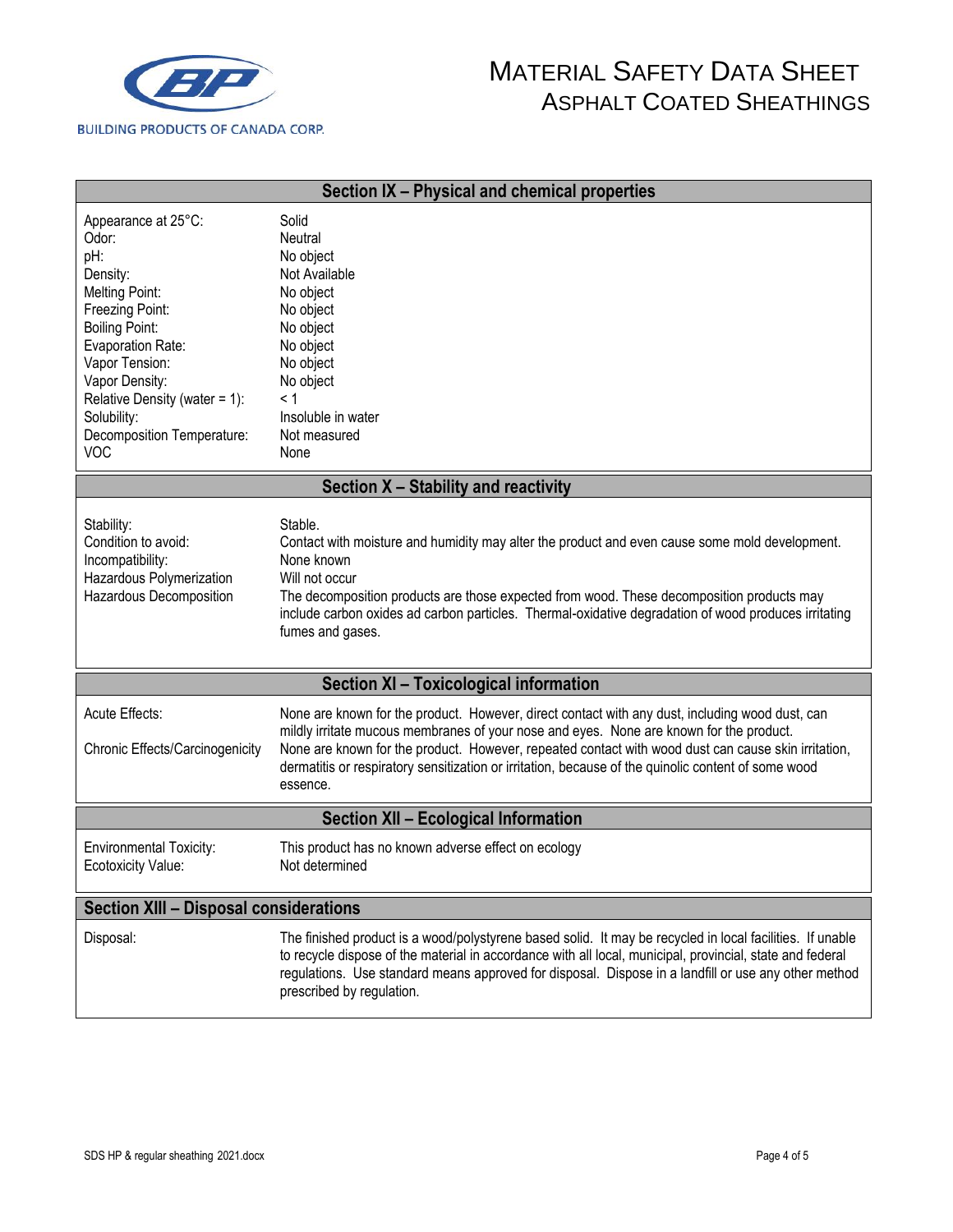

| Section IX - Physical and chemical properties                                                                                                                                                                                                                                |                                                                                                                                                                                                                                                                                                                                                                                                                      |  |  |  |
|------------------------------------------------------------------------------------------------------------------------------------------------------------------------------------------------------------------------------------------------------------------------------|----------------------------------------------------------------------------------------------------------------------------------------------------------------------------------------------------------------------------------------------------------------------------------------------------------------------------------------------------------------------------------------------------------------------|--|--|--|
| Appearance at 25°C:<br>Odor:<br>pH:<br>Density:<br><b>Melting Point:</b><br>Freezing Point:<br><b>Boiling Point:</b><br>Evaporation Rate:<br>Vapor Tension:<br>Vapor Density:<br>Relative Density (water = $1$ ):<br>Solubility:<br>Decomposition Temperature:<br><b>VOC</b> | Solid<br>Neutral<br>No object<br>Not Available<br>No object<br>No object<br>No object<br>No object<br>No object<br>No object<br>< 1<br>Insoluble in water<br>Not measured<br>None                                                                                                                                                                                                                                    |  |  |  |
| Section X - Stability and reactivity                                                                                                                                                                                                                                         |                                                                                                                                                                                                                                                                                                                                                                                                                      |  |  |  |
| Stability:<br>Condition to avoid:<br>Incompatibility:<br>Hazardous Polymerization<br>Hazardous Decomposition                                                                                                                                                                 | Stable.<br>Contact with moisture and humidity may alter the product and even cause some mold development.<br>None known<br>Will not occur<br>The decomposition products are those expected from wood. These decomposition products may<br>include carbon oxides ad carbon particles. Thermal-oxidative degradation of wood produces irritating<br>fumes and gases.                                                   |  |  |  |
|                                                                                                                                                                                                                                                                              | Section XI - Toxicological information                                                                                                                                                                                                                                                                                                                                                                               |  |  |  |
| Acute Effects:<br>Chronic Effects/Carcinogenicity                                                                                                                                                                                                                            | None are known for the product. However, direct contact with any dust, including wood dust, can<br>mildly irritate mucous membranes of your nose and eyes. None are known for the product.<br>None are known for the product. However, repeated contact with wood dust can cause skin irritation,<br>dermatitis or respiratory sensitization or irritation, because of the quinolic content of some wood<br>essence. |  |  |  |
| <b>Section XII - Ecological Information</b>                                                                                                                                                                                                                                  |                                                                                                                                                                                                                                                                                                                                                                                                                      |  |  |  |
| <b>Environmental Toxicity:</b><br>Ecotoxicity Value:                                                                                                                                                                                                                         | This product has no known adverse effect on ecology<br>Not determined                                                                                                                                                                                                                                                                                                                                                |  |  |  |
| <b>Section XIII - Disposal considerations</b>                                                                                                                                                                                                                                |                                                                                                                                                                                                                                                                                                                                                                                                                      |  |  |  |
| Disposal:                                                                                                                                                                                                                                                                    | The finished product is a wood/polystyrene based solid. It may be recycled in local facilities. If unable<br>to recycle dispose of the material in accordance with all local, municipal, provincial, state and federal<br>regulations. Use standard means approved for disposal. Dispose in a landfill or use any other method<br>prescribed by regulation.                                                          |  |  |  |